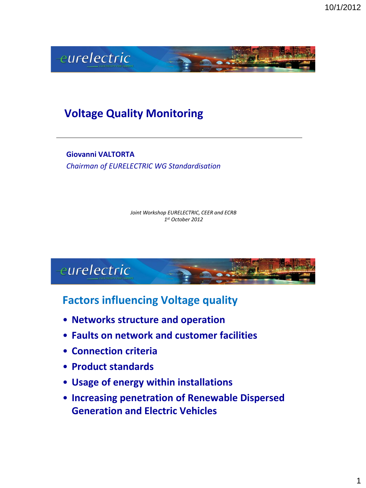

## **Voltage Quality Monitoring**

**Giovanni VALTORTA** *Chairman of EURELECTRIC WG Standardisation*

> *Joint Workshop EURELECTRIC, CEER and ECRB 1 st October 2012*



#### **Factors influencing Voltage quality**

- **Networks structure and operation**
- **Faults on network and customer facilities**
- **Connection criteria**
- **Product standards**
- **Usage of energy within installations**
- **Increasing penetration of Renewable Dispersed Generation and Electric Vehicles**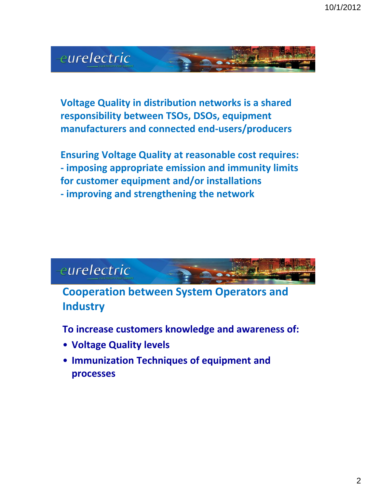

**Voltage Quality in distribution networks is a shared responsibility between TSOs, DSOs, equipment manufacturers and connected end-users/producers**

**Ensuring Voltage Quality at reasonable cost requires: - imposing appropriate emission and immunity limits for customer equipment and/or installations - improving and strengthening the network**

# eurelectric

**Cooperation between System Operators and Industry**

**To increase customers knowledge and awareness of:** 

- **Voltage Quality levels**
- **Immunization Techniques of equipment and processes**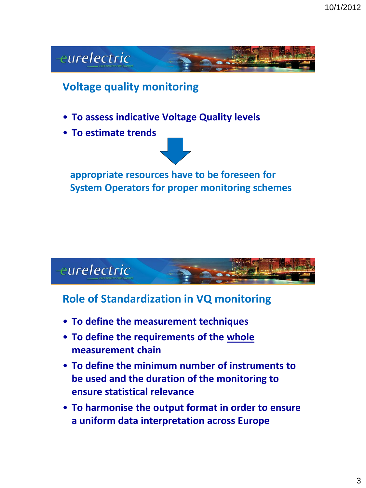

## **Voltage quality monitoring**

- **To assess indicative Voltage Quality levels**
- **To estimate trends**



**appropriate resources have to be foreseen for System Operators for proper monitoring schemes**



#### **Role of Standardization in VQ monitoring**

- **To define the measurement techniques**
- **To define the requirements of the whole measurement chain**
- **To define the minimum number of instruments to be used and the duration of the monitoring to ensure statistical relevance**
- **To harmonise the output format in order to ensure a uniform data interpretation across Europe**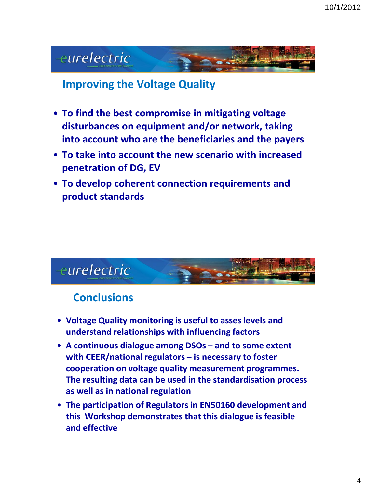# eurelectric

#### **Improving the Voltage Quality**

- **To find the best compromise in mitigating voltage disturbances on equipment and/or network, taking into account who are the beneficiaries and the payers**
- **To take into account the new scenario with increased penetration of DG, EV**
- **To develop coherent connection requirements and product standards**



#### **Conclusions**

- **Voltage Quality monitoring is useful to asses levels and understand relationships with influencing factors**
- **A continuous dialogue among DSOs – and to some extent with CEER/national regulators – is necessary to foster cooperation on voltage quality measurement programmes. The resulting data can be used in the standardisation process as well as in national regulation**
- **The participation of Regulators in EN50160 development and this Workshop demonstrates that this dialogue is feasible and effective**